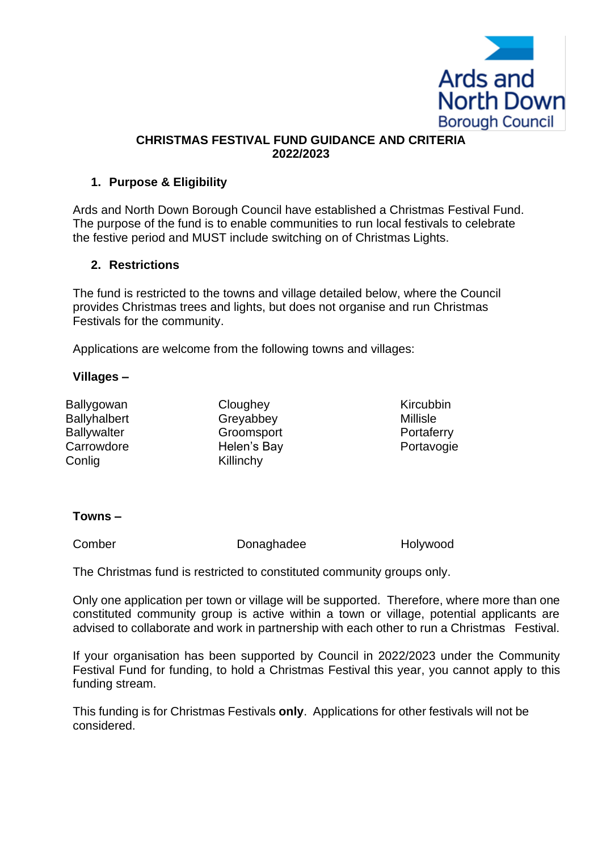

### **CHRISTMAS FESTIVAL FUND GUIDANCE AND CRITERIA 2022/2023**

## **1. Purpose & Eligibility**

Ards and North Down Borough Council have established a Christmas Festival Fund. The purpose of the fund is to enable communities to run local festivals to celebrate the festive period and MUST include switching on of Christmas Lights.

### **2. Restrictions**

The fund is restricted to the towns and village detailed below, where the Council provides Christmas trees and lights, but does not organise and run Christmas Festivals for the community.

Applications are welcome from the following towns and villages:

### **Villages –**

Conlig **Killinchy** 

Ballygowan Cloughey Cloughey Kircubbin Ballyhalbert Greyabbey Millisle Ballywalter **Groomsport** Groomschill **Ballywalter** Portaferry Carrowdore **Helen's Bay Portavogie** 

## **Towns –**

Comber Donaghadee Holywood

The Christmas fund is restricted to constituted community groups only.

Only one application per town or village will be supported. Therefore, where more than one constituted community group is active within a town or village, potential applicants are advised to collaborate and work in partnership with each other to run a Christmas Festival.

If your organisation has been supported by Council in 2022/2023 under the Community Festival Fund for funding, to hold a Christmas Festival this year, you cannot apply to this funding stream.

This funding is for Christmas Festivals **only**. Applications for other festivals will not be considered.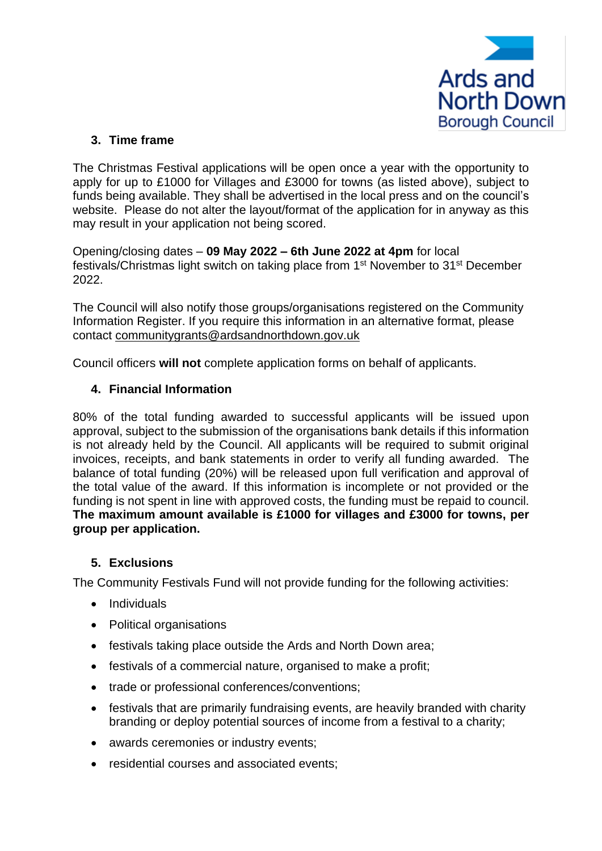

# **3. Time frame**

The Christmas Festival applications will be open once a year with the opportunity to apply for up to £1000 for Villages and £3000 for towns (as listed above), subject to funds being available. They shall be advertised in the local press and on the council's website. Please do not alter the layout/format of the application for in anyway as this may result in your application not being scored.

Opening/closing dates – **09 May 2022 – 6th June 2022 at 4pm** for local festivals/Christmas light switch on taking place from 1<sup>st</sup> November to 31<sup>st</sup> December 2022.

The Council will also notify those groups/organisations registered on the Community Information Register. If you require this information in an alternative format, please contact [communitygrants@ardsandnorthdown.gov.uk](mailto:communitygrants@ardsandnorthdown.gov.uk) 

Council officers **will not** complete application forms on behalf of applicants.

## **4. Financial Information**

80% of the total funding awarded to successful applicants will be issued upon approval, subject to the submission of the organisations bank details if this information is not already held by the Council. All applicants will be required to submit original invoices, receipts, and bank statements in order to verify all funding awarded. The balance of total funding (20%) will be released upon full verification and approval of the total value of the award. If this information is incomplete or not provided or the funding is not spent in line with approved costs, the funding must be repaid to council. **The maximum amount available is £1000 for villages and £3000 for towns, per group per application.**

#### **5. Exclusions**

The Community Festivals Fund will not provide funding for the following activities:

- Individuals
- Political organisations
- festivals taking place outside the Ards and North Down area;
- festivals of a commercial nature, organised to make a profit;
- trade or professional conferences/conventions;
- festivals that are primarily fundraising events, are heavily branded with charity branding or deploy potential sources of income from a festival to a charity;
- awards ceremonies or industry events;
- residential courses and associated events;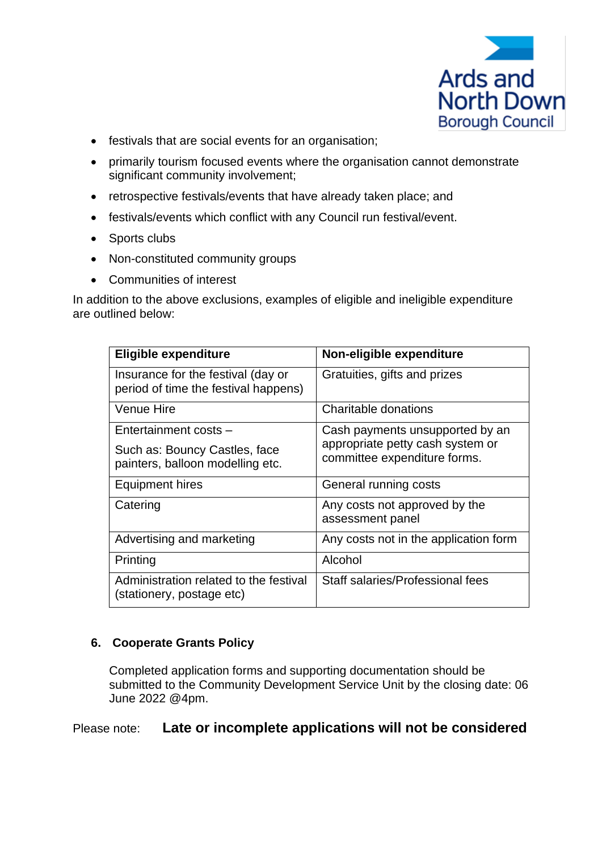

- festivals that are social events for an organisation:
- primarily tourism focused events where the organisation cannot demonstrate significant community involvement;
- retrospective festivals/events that have already taken place; and
- festivals/events which conflict with any Council run festival/event.
- Sports clubs
- Non-constituted community groups
- Communities of interest

In addition to the above exclusions, examples of eligible and ineligible expenditure are outlined below:

| <b>Eligible expenditure</b>                                                                | Non-eligible expenditure                                                                            |
|--------------------------------------------------------------------------------------------|-----------------------------------------------------------------------------------------------------|
| Insurance for the festival (day or<br>period of time the festival happens)                 | Gratuities, gifts and prizes                                                                        |
| <b>Venue Hire</b>                                                                          | Charitable donations                                                                                |
| Entertainment costs -<br>Such as: Bouncy Castles, face<br>painters, balloon modelling etc. | Cash payments unsupported by an<br>appropriate petty cash system or<br>committee expenditure forms. |
| <b>Equipment hires</b>                                                                     | General running costs                                                                               |
| Catering                                                                                   | Any costs not approved by the<br>assessment panel                                                   |
| Advertising and marketing                                                                  | Any costs not in the application form                                                               |
| Printing                                                                                   | Alcohol                                                                                             |
| Administration related to the festival<br>(stationery, postage etc)                        | Staff salaries/Professional fees                                                                    |

## **6. Cooperate Grants Policy**

Completed application forms and supporting documentation should be submitted to the Community Development Service Unit by the closing date: 06 June 2022 @4pm.

# Please note: **Late or incomplete applications will not be considered**